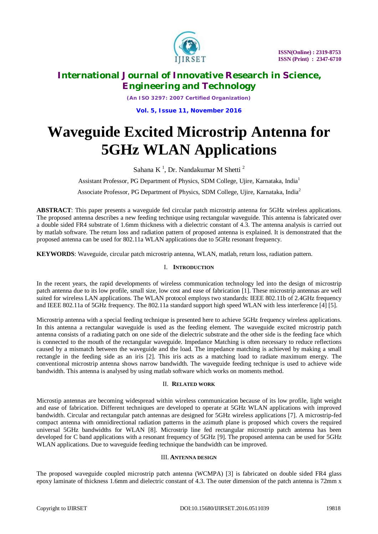

*(An ISO 3297: 2007 Certified Organization)*

**Vol. 5, Issue 11, November 2016**

# **Waveguide Excited Microstrip Antenna for 5GHz WLAN Applications**

Sahana K<sup>1</sup>, Dr. Nandakumar M Shetti<sup>2</sup>

Assistant Professor, PG Department of Physics, SDM College, Ujire, Karnataka, India<sup>1</sup>

Associate Professor, PG Department of Physics, SDM College, Ujire, Karnataka, India<sup>2</sup>

**ABSTRACT**: This paper presents a waveguide fed circular patch microstrip antenna for 5GHz wireless applications. The proposed antenna describes a new feeding technique using rectangular waveguide. This antenna is fabricated over a double sided FR4 substrate of 1.6mm thickness with a dielectric constant of 4.3. The antenna analysis is carried out by matlab software. The return loss and radiation pattern of proposed antenna is explained. It is demonstrated that the proposed antenna can be used for 802.11a WLAN applications due to 5GHz resonant frequency.

**KEYWORDS**: Waveguide, circular patch microstrip antenna, WLAN, matlab, return loss, radiation pattern.

### I. **INTRODUCTION**

In the recent years, the rapid developments of wireless communication technology led into the design of microstrip patch antenna due to its low profile, small size, low cost and ease of fabrication [1]. These microstrip antennas are well suited for wireless LAN applications. The WLAN protocol employs two standards: IEEE 802.11b of 2.4GHz frequency and IEEE 802.11a of 5GHz frequency. The 802.11a standard support high speed WLAN with less interference [4] [5].

Microstrip antenna with a special feeding technique is presented here to achieve 5GHz frequency wireless applications. In this antenna a rectangular waveguide is used as the feeding element. The waveguide excited microstrip patch antenna consists of a radiating patch on one side of the dielectric substrate and the other side is the feeding face which is connected to the mouth of the rectangular waveguide. Impedance Matching is often necessary to reduce reflections caused by a mismatch between the waveguide and the load. The impedance matching is achieved by making a small rectangle in the feeding side as an iris [2]. This iris acts as a matching load to radiate maximum energy. The conventional microstrip antenna shows narrow bandwidth. The waveguide feeding technique is used to achieve wide bandwidth. This antenna is analysed by using matlab software which works on moments method.

### II. **RELATED WORK**

Microstip antennas are becoming widespread within wireless communication because of its low profile, light weight and ease of fabrication. Different techniques are developed to operate at 5GHz WLAN applications with improved bandwidth. Circular and rectangular patch antennas are designed for 5GHz wireless applications [7]. A microstrip-fed compact antenna with omnidirectional radiation patterns in the azimuth plane is proposed which covers the required universal 5GHz bandwidths for WLAN [8]. Microstrip line fed rectangular microstrip patch antenna has been developed for C band applications with a resonant frequency of 5GHz [9]. The proposed antenna can be used for 5GHz WLAN applications. Due to waveguide feeding technique the bandwidth can be improved.

### III. **ANTENNA DESIGN**

The proposed waveguide coupled microstrip patch antenna (WCMPA) [3] is fabricated on double sided FR4 glass epoxy laminate of thickness 1.6mm and dielectric constant of 4.3. The outer dimension of the patch antenna is 72mm x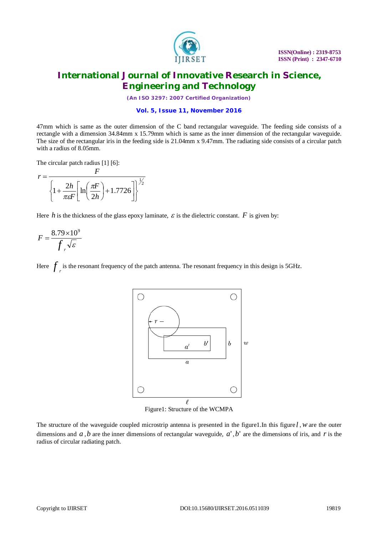

*(An ISO 3297: 2007 Certified Organization)*

### **Vol. 5, Issue 11, November 2016**

47mm which is same as the outer dimension of the C band rectangular waveguide. The feeding side consists of a rectangle with a dimension 34.84mm x 15.79mm which is same as the inner dimension of the rectangular waveguide. The size of the rectangular iris in the feeding side is 21.04mm x 9.47mm. The radiating side consists of a circular patch with a radius of 8.05mm.

The circular patch radius [1] [6]:

$$
r = \frac{F}{\left\{1 + \frac{2h}{\pi \epsilon F} \left[\ln\left(\frac{\pi F}{2h}\right) + 1.7726\right]\right\}^{1/2}}
$$

*F*

Here *h* is the thickness of the glass epoxy laminate,  $\varepsilon$  is the dielectric constant.  $F$  is given by:

$$
F = \frac{8.79 \times 10^9}{f_r \sqrt{\varepsilon}}
$$

Here  $f_{\text{r}}$  is the resonant frequency of the patch antenna. The resonant frequency in this design is 5GHz.



Figure1: Structure of the WCMPA

The structure of the waveguide coupled microstrip antenna is presented in the figure1.In this figure *l* ,*w* are the outer dimensions and  $a$ ,  $b$  are the inner dimensions of rectangular waveguide,  $a'$ ,  $b'$  are the dimensions of iris, and  $r$  is the radius of circular radiating patch.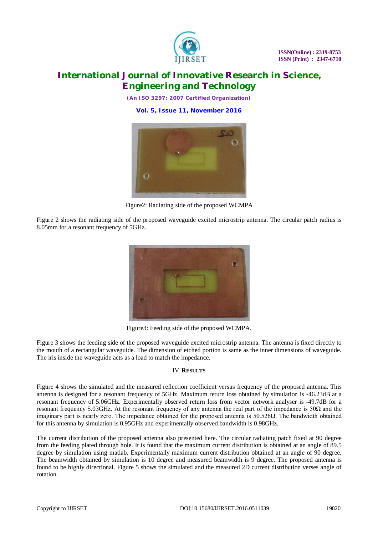

*(An ISO 3297: 2007 Certified Organization)*

**Vol. 5, Issue 11, November 2016**



Figure2: Radiating side of the proposed WCMPA

Figure 2 shows the radiating side of the proposed waveguide excited microstrip antenna. The circular patch radius is 8.05mm for a resonant frequency of 5GHz.



Figure3: Feeding side of the proposed WCMPA.

Figure 3 shows the feeding side of the proposed waveguide excited microstrip antenna. The antenna is fixed directly to the mouth of a rectangular waveguide. The dimension of etched portion is same as the inner dimensions of waveguide. The iris inside the waveguide acts as a load to match the impedance.

### IV.**RESULTS**

Figure 4 shows the simulated and the measured reflection coefficient versus frequency of the proposed antenna. This antenna is designed for a resonant frequency of 5GHz. Maximum return loss obtained by simulation is -46.23dB at a resonant frequency of 5.06GHz. Experimentally observed return loss from vector network analyser is -49.7dB for a resonant frequency 5.03GHz. At the resonant frequency of any antenna the real part of the impedance is 50Ω and the imaginary part is nearly zero. The impedance obtained for the proposed antenna is 50.526Ω. The bandwidth obtained for this antenna by simulation is 0.95GHz and experimentally observed bandwidth is 0.98GHz.

The current distribution of the proposed antenna also presented here. The circular radiating patch fixed at 90 degree from the feeding plated through hole. It is found that the maximum current distribution is obtained at an angle of 89.5 degree by simulation using matlab. Experimentally maximum current distribution obtained at an angle of 90 degree. The beamwidth obtained by simulation is 10 degree and measured beamwidth is 9 degree. The proposed antenna is found to be highly directional. Figure 5 shows the simulated and the measured 2D current distribution verses angle of rotation.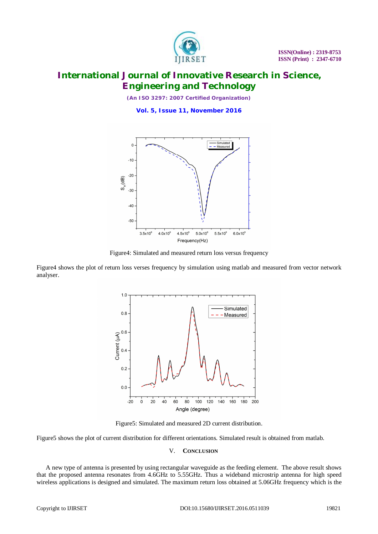

*(An ISO 3297: 2007 Certified Organization)*

**Vol. 5, Issue 11, November 2016**



Figure4: Simulated and measured return loss versus frequency

Figure4 shows the plot of return loss verses frequency by simulation using matlab and measured from vector network analyser.



Figure5: Simulated and measured 2D current distribution.

Figure5 shows the plot of current distribution for different orientations. Simulated result is obtained from matlab.

### V. **CONCLUSION**

A new type of antenna is presented by using rectangular waveguide as the feeding element. The above result shows that the proposed antenna resonates from 4.6GHz to 5.55GHz. Thus a wideband microstrip antenna for high speed wireless applications is designed and simulated. The maximum return loss obtained at 5.06GHz frequency which is the